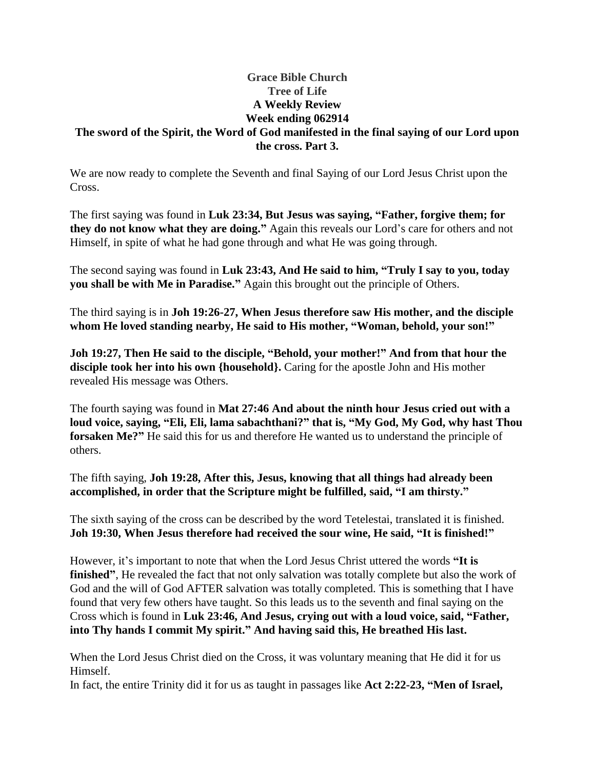## **Grace Bible Church Tree of Life A Weekly Review Week ending 062914**

## **The sword of the Spirit, the Word of God manifested in the final saying of our Lord upon the cross. Part 3.**

We are now ready to complete the Seventh and final Saying of our Lord Jesus Christ upon the Cross.

The first saying was found in **Luk 23:34, But Jesus was saying, "Father, forgive them; for they do not know what they are doing."** Again this reveals our Lord's care for others and not Himself, in spite of what he had gone through and what He was going through.

The second saying was found in **Luk 23:43, And He said to him, "Truly I say to you, today you shall be with Me in Paradise."** Again this brought out the principle of Others.

The third saying is in **Joh 19:26-27, When Jesus therefore saw His mother, and the disciple whom He loved standing nearby, He said to His mother, "Woman, behold, your son!"**

**Joh 19:27, Then He said to the disciple, "Behold, your mother!" And from that hour the disciple took her into his own {household}.** Caring for the apostle John and His mother revealed His message was Others.

The fourth saying was found in **Mat 27:46 And about the ninth hour Jesus cried out with a loud voice, saying, "Eli, Eli, lama sabachthani?" that is, "My God, My God, why hast Thou forsaken Me?"** He said this for us and therefore He wanted us to understand the principle of others.

The fifth saying, **Joh 19:28, After this, Jesus, knowing that all things had already been accomplished, in order that the Scripture might be fulfilled, said, "I am thirsty."**

The sixth saying of the cross can be described by the word Tetelestai, translated it is finished. **Joh 19:30, When Jesus therefore had received the sour wine, He said, "It is finished!"**

However, it's important to note that when the Lord Jesus Christ uttered the words **"It is finished"**, He revealed the fact that not only salvation was totally complete but also the work of God and the will of God AFTER salvation was totally completed. This is something that I have found that very few others have taught. So this leads us to the seventh and final saying on the Cross which is found in **Luk 23:46, And Jesus, crying out with a loud voice, said, "Father, into Thy hands I commit My spirit." And having said this, He breathed His last.**

When the Lord Jesus Christ died on the Cross, it was voluntary meaning that He did it for us Himself.

In fact, the entire Trinity did it for us as taught in passages like **Act 2:22-23, "Men of Israel,**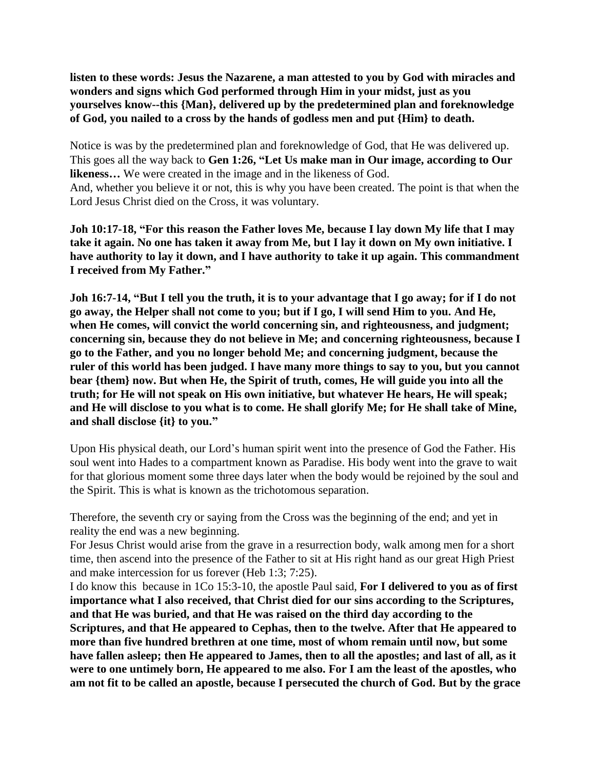**listen to these words: Jesus the Nazarene, a man attested to you by God with miracles and wonders and signs which God performed through Him in your midst, just as you yourselves know--this {Man}, delivered up by the predetermined plan and foreknowledge of God, you nailed to a cross by the hands of godless men and put {Him} to death.**

Notice is was by the predetermined plan and foreknowledge of God, that He was delivered up. This goes all the way back to **Gen 1:26, "Let Us make man in Our image, according to Our likeness…** We were created in the image and in the likeness of God. And, whether you believe it or not, this is why you have been created. The point is that when the Lord Jesus Christ died on the Cross, it was voluntary.

**Joh 10:17-18, "For this reason the Father loves Me, because I lay down My life that I may take it again. No one has taken it away from Me, but I lay it down on My own initiative. I have authority to lay it down, and I have authority to take it up again. This commandment I received from My Father."**

**Joh 16:7-14, "But I tell you the truth, it is to your advantage that I go away; for if I do not go away, the Helper shall not come to you; but if I go, I will send Him to you. And He, when He comes, will convict the world concerning sin, and righteousness, and judgment; concerning sin, because they do not believe in Me; and concerning righteousness, because I go to the Father, and you no longer behold Me; and concerning judgment, because the ruler of this world has been judged. I have many more things to say to you, but you cannot bear {them} now. But when He, the Spirit of truth, comes, He will guide you into all the truth; for He will not speak on His own initiative, but whatever He hears, He will speak; and He will disclose to you what is to come. He shall glorify Me; for He shall take of Mine, and shall disclose {it} to you."**

Upon His physical death, our Lord's human spirit went into the presence of God the Father. His soul went into Hades to a compartment known as Paradise. His body went into the grave to wait for that glorious moment some three days later when the body would be rejoined by the soul and the Spirit. This is what is known as the trichotomous separation.

Therefore, the seventh cry or saying from the Cross was the beginning of the end; and yet in reality the end was a new beginning.

For Jesus Christ would arise from the grave in a resurrection body, walk among men for a short time, then ascend into the presence of the Father to sit at His right hand as our great High Priest and make intercession for us forever (Heb 1:3; 7:25).

I do know this because in 1Co 15:3-10, the apostle Paul said, **For I delivered to you as of first importance what I also received, that Christ died for our sins according to the Scriptures, and that He was buried, and that He was raised on the third day according to the Scriptures, and that He appeared to Cephas, then to the twelve. After that He appeared to more than five hundred brethren at one time, most of whom remain until now, but some have fallen asleep; then He appeared to James, then to all the apostles; and last of all, as it were to one untimely born, He appeared to me also. For I am the least of the apostles, who am not fit to be called an apostle, because I persecuted the church of God. But by the grace**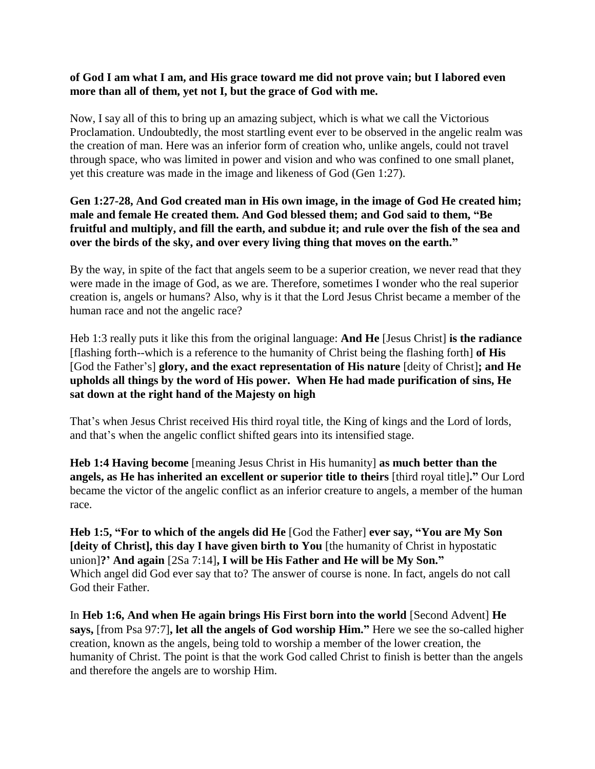## **of God I am what I am, and His grace toward me did not prove vain; but I labored even more than all of them, yet not I, but the grace of God with me.**

Now, I say all of this to bring up an amazing subject, which is what we call the Victorious Proclamation. Undoubtedly, the most startling event ever to be observed in the angelic realm was the creation of man. Here was an inferior form of creation who, unlike angels, could not travel through space, who was limited in power and vision and who was confined to one small planet, yet this creature was made in the image and likeness of God (Gen 1:27).

## **Gen 1:27-28, And God created man in His own image, in the image of God He created him; male and female He created them. And God blessed them; and God said to them, "Be fruitful and multiply, and fill the earth, and subdue it; and rule over the fish of the sea and over the birds of the sky, and over every living thing that moves on the earth."**

By the way, in spite of the fact that angels seem to be a superior creation, we never read that they were made in the image of God, as we are. Therefore, sometimes I wonder who the real superior creation is, angels or humans? Also, why is it that the Lord Jesus Christ became a member of the human race and not the angelic race?

Heb 1:3 really puts it like this from the original language: **And He** [Jesus Christ] **is the radiance**  [flashing forth--which is a reference to the humanity of Christ being the flashing forth] **of His**  [God the Father's] **glory, and the exact representation of His nature** [deity of Christ]**; and He upholds all things by the word of His power. When He had made purification of sins, He sat down at the right hand of the Majesty on high**

That's when Jesus Christ received His third royal title, the King of kings and the Lord of lords, and that's when the angelic conflict shifted gears into its intensified stage.

**Heb 1:4 Having become** [meaning Jesus Christ in His humanity] **as much better than the angels, as He has inherited an excellent or superior title to theirs** [third royal title]**."** Our Lord became the victor of the angelic conflict as an inferior creature to angels, a member of the human race.

**Heb 1:5, "For to which of the angels did He** [God the Father] **ever say, "You are My Son [deity of Christ], this day I have given birth to You** [the humanity of Christ in hypostatic union]**?' And again** [2Sa 7:14]**, I will be His Father and He will be My Son."** Which angel did God ever say that to? The answer of course is none. In fact, angels do not call God their Father.

In **Heb 1:6, And when He again brings His First born into the world** [Second Advent] **He says,** [from Psa 97:7]**, let all the angels of God worship Him."** Here we see the so-called higher creation, known as the angels, being told to worship a member of the lower creation, the humanity of Christ. The point is that the work God called Christ to finish is better than the angels and therefore the angels are to worship Him.